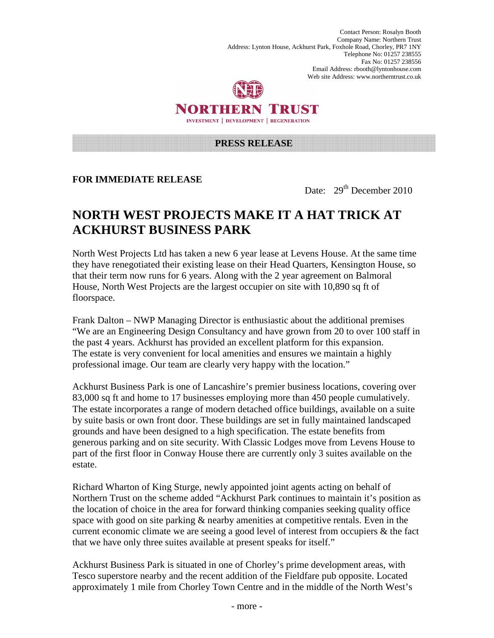Contact Person: Rosalyn Booth Company Name: Northern Trust Address: Lynton House, Ackhurst Park, Foxhole Road, Chorley, PR7 1NY Telephone No: 01257 238555 Fax No: 01257 238556 Email Address: rbooth@lyntonhouse.com Web site Address: www.northerntrust.co.uk



## NORTHERN TRUST **INVESTMENT | DEVELOPMENT | REGENERATION**

#### **PRESS RELEASE**

### **FOR IMMEDIATE RELEASE**

Date: 29<sup>th</sup> December 2010

# **NORTH WEST PROJECTS MAKE IT A HAT TRICK AT ACKHURST BUSINESS PARK**

North West Projects Ltd has taken a new 6 year lease at Levens House. At the same time they have renegotiated their existing lease on their Head Quarters, Kensington House, so that their term now runs for 6 years. Along with the 2 year agreement on Balmoral House, North West Projects are the largest occupier on site with 10,890 sq ft of floorspace.

Frank Dalton – NWP Managing Director is enthusiastic about the additional premises "We are an Engineering Design Consultancy and have grown from 20 to over 100 staff in the past 4 years. Ackhurst has provided an excellent platform for this expansion. The estate is very convenient for local amenities and ensures we maintain a highly professional image. Our team are clearly very happy with the location."

Ackhurst Business Park is one of Lancashire's premier business locations, covering over 83,000 sq ft and home to 17 businesses employing more than 450 people cumulatively. The estate incorporates a range of modern detached office buildings, available on a suite by suite basis or own front door. These buildings are set in fully maintained landscaped grounds and have been designed to a high specification. The estate benefits from generous parking and on site security. With Classic Lodges move from Levens House to part of the first floor in Conway House there are currently only 3 suites available on the estate.

Richard Wharton of King Sturge, newly appointed joint agents acting on behalf of Northern Trust on the scheme added "Ackhurst Park continues to maintain it's position as the location of choice in the area for forward thinking companies seeking quality office space with good on site parking & nearby amenities at competitive rentals. Even in the current economic climate we are seeing a good level of interest from occupiers & the fact that we have only three suites available at present speaks for itself."

Ackhurst Business Park is situated in one of Chorley's prime development areas, with Tesco superstore nearby and the recent addition of the Fieldfare pub opposite. Located approximately 1 mile from Chorley Town Centre and in the middle of the North West's